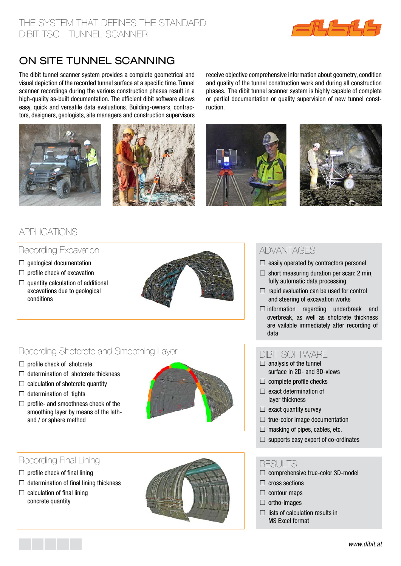

# on site tunnel scanning

The dibit tunnel scanner system provides a complete geometrical and visual depiction of the recorded tunnel surface at a specific time. Tunnel scanner recordings during the various construction phases result in a high-quality as-built documentation. The efficient dibit software allows easy, quick and versatile data evaluations. Building-owners, contractors, designers, geologists, site managers and construction supervisors





receive objective comprehensive information about geometry, condition and quality of the tunnel construction work and during all construction phases. The dibit tunnel scanner system is highly capable of complete or partial documentation or quality supervision of new tunnel construction.





## applications

## Recording Excavation

- $\Box$  geological documentation
- $\Box$  profile check of excavation
- $\Box$  quantity calculation of additional excavations due to geological conditions



## Recording Shotcrete and Smoothing Layer

- $\Box$  profile check of shotcrete
- $\Box$  determination of shotcrete thickness
- $\Box$  calculation of shotcrete quantity
- $\Box$  determination of tights
- $\Box$  profile- and smoothness check of the smoothing layer by means of the lathand / or sphere method



## Recording Final Lining

- $\Box$  profile check of final lining
- $\Box$  determination of final lining thickness
- $\Box$  calculation of final lining concrete quantity



## advantages

- $\Box$  easily operated by contractors personel
- $\Box$  short measuring duration per scan: 2 min, fully automatic data processing
- $\Box$  rapid evaluation can be used for control and steering of excavation works
- $\square$  information regarding underbreak and overbreak, as well as shotcrete thickness are vailable immediately after recording of data

#### dibit software

- $\Box$  analysis of the tunnel surface in 2D- and 3D-views
- $\Box$  complete profile checks
- $\Box$  exact determination of layer thickness
- $\Box$  exact quantity survey
- $\Box$  true-color image documentation
- $\Box$  masking of pipes, cables, etc.
- $\Box$  supports easy export of co-ordinates

#### RESULTS

- $\Box$  comprehensive true-color 3D-model
- $\Box$  cross sections
- $\Box$  contour maps
- $\Box$  ortho-images
- $\Box$  lists of calculation results in MS Excel format